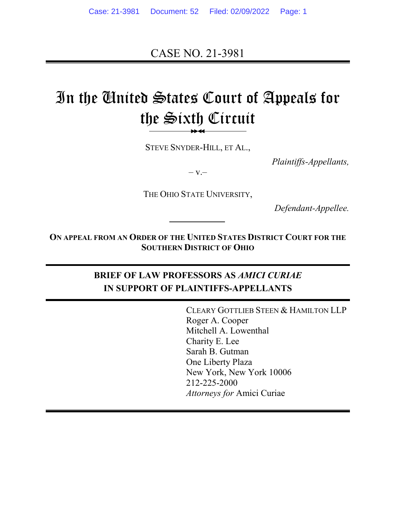CASE NO. 21-3981

# In the United States Court of Appeals for the Sixth Circuit

STEVE SNYDER-HILL, ET AL.,

*Plaintiffs-Appellants,*

 $-V -$ 

THE OHIO STATE UNIVERSITY,

*Defendant-Appellee.*

**ON APPEAL FROM AN ORDER OF THE UNITED STATES DISTRICT COURT FOR THE SOUTHERN DISTRICT OF OHIO**

### **BRIEF OF LAW PROFESSORS AS** *AMICI CURIAE* **IN SUPPORT OF PLAINTIFFS-APPELLANTS**

CLEARY GOTTLIEB STEEN & HAMILTON LLP Roger A. Cooper Mitchell A. Lowenthal Charity E. Lee Sarah B. Gutman One Liberty Plaza New York, New York 10006 212-225-2000 *Attorneys for* Amici Curiae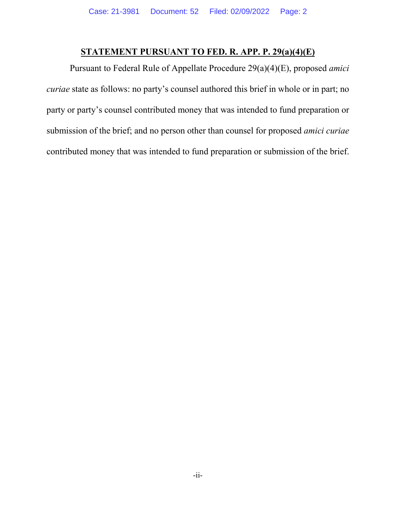### **STATEMENT PURSUANT TO FED. R. APP. P. 29(a)(4)(E)**

Pursuant to Federal Rule of Appellate Procedure 29(a)(4)(E), proposed *amici curiae* state as follows: no party's counsel authored this brief in whole or in part; no party or party's counsel contributed money that was intended to fund preparation or submission of the brief; and no person other than counsel for proposed *amici curiae* contributed money that was intended to fund preparation or submission of the brief.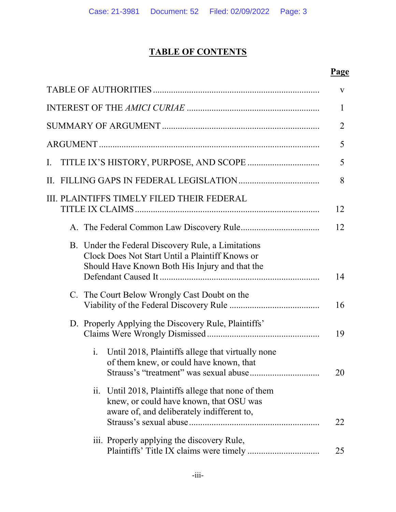# **TABLE OF CONTENTS**

# **Page**

|                                                                                                                                                               | V              |
|---------------------------------------------------------------------------------------------------------------------------------------------------------------|----------------|
|                                                                                                                                                               | $\mathbf{1}$   |
|                                                                                                                                                               | $\overline{2}$ |
|                                                                                                                                                               | 5              |
| Ι.                                                                                                                                                            | 5              |
| II.                                                                                                                                                           | 8              |
| III. PLAINTIFFS TIMELY FILED THEIR FEDERAL                                                                                                                    | 12             |
|                                                                                                                                                               | 12             |
| B. Under the Federal Discovery Rule, a Limitations<br>Clock Does Not Start Until a Plaintiff Knows or<br>Should Have Known Both His Injury and that the       | 14             |
| The Court Below Wrongly Cast Doubt on the<br>C.                                                                                                               | 16             |
| D. Properly Applying the Discovery Rule, Plaintiffs'                                                                                                          | 19             |
| Until 2018, Plaintiffs allege that virtually none<br>$\mathbf{i}$ .<br>of them knew, or could have known, that                                                | 20             |
| Until 2018, Plaintiffs allege that none of them<br>$\overline{11}$ .<br>knew, or could have known, that OSU was<br>aware of, and deliberately indifferent to, | 22             |
| iii. Properly applying the discovery Rule,                                                                                                                    | 25             |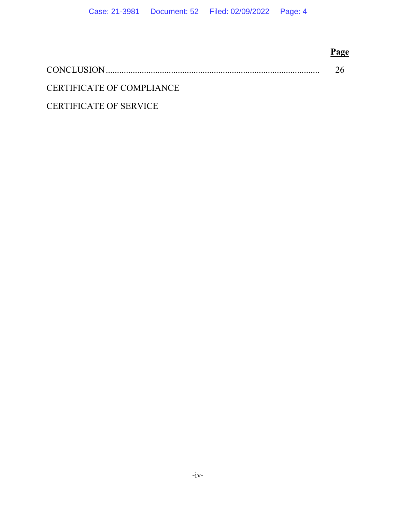|                               | Page |
|-------------------------------|------|
|                               |      |
| CERTIFICATE OF COMPLIANCE     |      |
| <b>CERTIFICATE OF SERVICE</b> |      |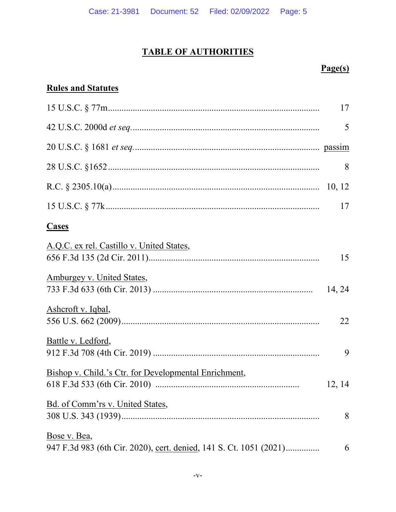# **TABLE OF AUTHORITIES**

# $Page(s)$

# **Rules and Statutes**

|                                                                    | 17     |
|--------------------------------------------------------------------|--------|
|                                                                    | 5      |
|                                                                    |        |
|                                                                    | 8      |
|                                                                    |        |
|                                                                    | 17     |
| <b>Cases</b>                                                       |        |
| A.Q.C. ex rel. Castillo v. United States,                          | 15     |
| Amburgey v. United States,                                         | 14, 24 |
| Ashcroft v. Iqbal,                                                 | 22     |
| Battle v. Ledford,                                                 | 9      |
| Bishop v. Child.'s Ctr. for Developmental Enrichment,              | 12, 14 |
| Bd. of Comm'rs v. United States,                                   | 8      |
| Bose v. Bea,                                                       |        |
| 947 F.3d 983 (6th Cir. 2020), cert. denied, 141 S. Ct. 1051 (2021) | 6      |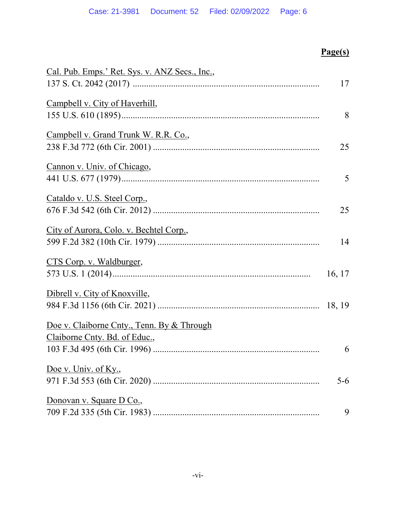| Cal. Pub. Emps.' Ret. Sys. v. ANZ Secs., Inc., |         |
|------------------------------------------------|---------|
|                                                | 17      |
| Campbell v. City of Haverhill,                 |         |
|                                                | 8       |
| Campbell v. Grand Trunk W. R.R. Co.,           |         |
|                                                | 25      |
| Cannon v. Univ. of Chicago,                    |         |
|                                                | 5       |
| Cataldo v. U.S. Steel Corp.,                   |         |
|                                                | 25      |
| City of Aurora, Colo. v. Bechtel Corp.,        |         |
|                                                | 14      |
| CTS Corp. v. Waldburger,                       |         |
|                                                | 16, 17  |
| Dibrell v. City of Knoxville,                  |         |
|                                                |         |
| Doe v. Claiborne Cnty., Tenn. By & Through     |         |
| Claiborne Cnty. Bd. of Educ.,                  |         |
|                                                | 6       |
| Doe v. Univ. of Ky.,                           |         |
|                                                | $5 - 6$ |
| Donovan v. Square D Co.,                       |         |
|                                                | 9       |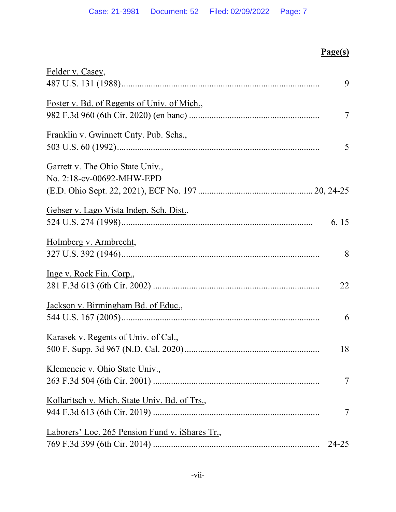| Felder v. Casey,                                |       |
|-------------------------------------------------|-------|
|                                                 | 9     |
| Foster v. Bd. of Regents of Univ. of Mich.,     |       |
|                                                 | 7     |
| Franklin v. Gwinnett Cnty. Pub. Schs.,          |       |
|                                                 | 5     |
| Garrett v. The Ohio State Univ.,                |       |
| No. 2:18-cv-00692-MHW-EPD                       |       |
|                                                 |       |
| Gebser v. Lago Vista Indep. Sch. Dist.,         |       |
|                                                 | 6, 15 |
| Holmberg v. Armbrecht,                          |       |
|                                                 | 8     |
| Inge v. Rock Fin. Corp.,                        |       |
|                                                 | 22    |
| Jackson v. Birmingham Bd. of Educ.,             |       |
|                                                 | 6     |
| Karasek v. Regents of Univ. of Cal.,            |       |
|                                                 | 18    |
| Klemencic v. Ohio State Univ.,                  |       |
|                                                 | 7     |
| Kollaritsch v. Mich. State Univ. Bd. of Trs.,   |       |
|                                                 | 7     |
| Laborers' Loc. 265 Pension Fund v. iShares Tr., |       |
|                                                 | 24-25 |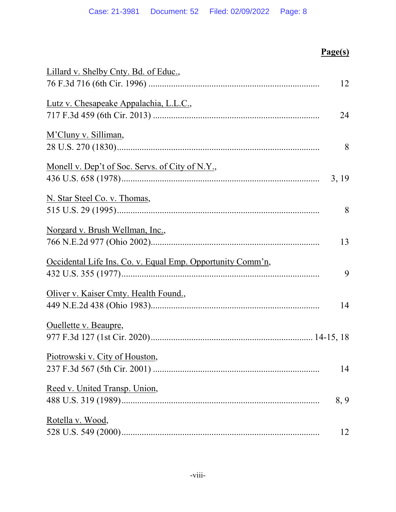| Lillard v. Shelby Cnty. Bd. of Educ.,                      |       |
|------------------------------------------------------------|-------|
|                                                            | 12    |
| Lutz v. Chesapeake Appalachia, L.L.C.,                     |       |
|                                                            | 24    |
| M'Cluny v. Silliman,                                       |       |
|                                                            | 8     |
| Monell v. Dep't of Soc. Servs. of City of N.Y.,            |       |
|                                                            | 3, 19 |
| N. Star Steel Co. v. Thomas,                               |       |
|                                                            | 8     |
| Norgard v. Brush Wellman, Inc.,                            |       |
|                                                            | 13    |
| Occidental Life Ins. Co. v. Equal Emp. Opportunity Comm'n, |       |
|                                                            | 9     |
| Oliver v. Kaiser Cmty. Health Found.,                      |       |
|                                                            | 14    |
| Ouellette v. Beaupre,                                      |       |
|                                                            |       |
| Piotrowski v. City of Houston,                             |       |
|                                                            | 14    |
| Reed v. United Transp. Union,                              |       |
|                                                            | 8, 9  |
| Rotella v. Wood,                                           |       |
|                                                            | 12    |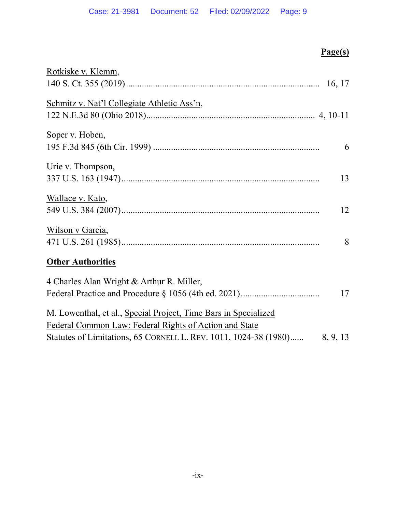| Rotkiske v. Klemm,                                                        |    |
|---------------------------------------------------------------------------|----|
|                                                                           |    |
| Schmitz v. Nat'l Collegiate Athletic Ass'n,                               |    |
|                                                                           |    |
| Soper v. Hoben,                                                           |    |
|                                                                           | 6  |
| Urie v. Thompson,                                                         |    |
|                                                                           | 13 |
| Wallace v. Kato,                                                          |    |
|                                                                           | 12 |
| Wilson v Garcia,                                                          |    |
|                                                                           | 8  |
| <b>Other Authorities</b>                                                  |    |
| 4 Charles Alan Wright & Arthur R. Miller,                                 |    |
|                                                                           | 17 |
| M. Lowenthal, et al., Special Project, Time Bars in Specialized           |    |
| Federal Common Law: Federal Rights of Action and State                    |    |
| Statutes of Limitations, 65 CORNELL L. REV. 1011, 1024-38 (1980) 8, 9, 13 |    |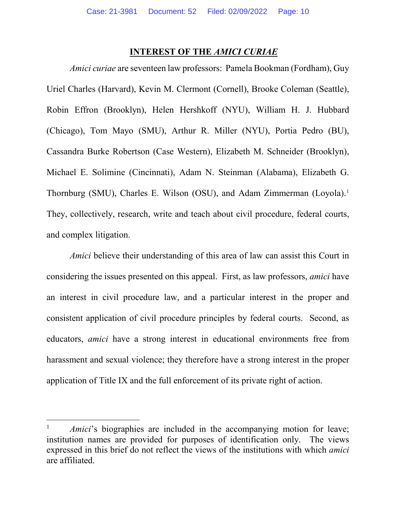#### **INTEREST OF THE** *AMICI CURIAE*

*Amici curiae* are seventeen law professors: Pamela Bookman (Fordham), Guy Uriel Charles (Harvard), Kevin M. Clermont (Cornell), Brooke Coleman (Seattle), Robin Effron (Brooklyn), Helen Hershkoff (NYU), William H. J. Hubbard (Chicago), Tom Mayo (SMU), Arthur R. Miller (NYU), Portia Pedro (BU), Cassandra Burke Robertson (Case Western), Elizabeth M. Schneider (Brooklyn), Michael E. Solimine (Cincinnati), Adam N. Steinman (Alabama), Elizabeth G. Thornburg (SMU), Charles E. Wilson (OSU), and Adam Zimmerman (Loyola).<sup>1</sup> They, collectively, research, write and teach about civil procedure, federal courts, and complex litigation.

*Amici* believe their understanding of this area of law can assist this Court in considering the issues presented on this appeal. First, as law professors, *amici* have an interest in civil procedure law, and a particular interest in the proper and consistent application of civil procedure principles by federal courts. Second, as educators, *amici* have a strong interest in educational environments free from harassment and sexual violence; they therefore have a strong interest in the proper application of Title IX and the full enforcement of its private right of action.

 $\overline{a}$ 

<sup>1</sup> *Amici*'s biographies are included in the accompanying motion for leave; institution names are provided for purposes of identification only. The views expressed in this brief do not reflect the views of the institutions with which *amici* are affiliated.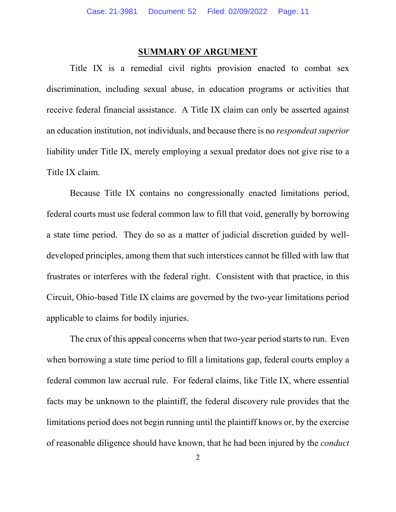#### **SUMMARY OF ARGUMENT**

Title IX is a remedial civil rights provision enacted to combat sex discrimination, including sexual abuse, in education programs or activities that receive federal financial assistance. A Title IX claim can only be asserted against an education institution, not individuals, and because there is no *respondeat superior* liability under Title IX, merely employing a sexual predator does not give rise to a Title IX claim.

Because Title IX contains no congressionally enacted limitations period, federal courts must use federal common law to fill that void, generally by borrowing a state time period. They do so as a matter of judicial discretion guided by welldeveloped principles, among them that such interstices cannot be filled with law that frustrates or interferes with the federal right. Consistent with that practice, in this Circuit, Ohio-based Title IX claims are governed by the two-year limitations period applicable to claims for bodily injuries.

The crux of this appeal concerns when that two-year period starts to run. Even when borrowing a state time period to fill a limitations gap, federal courts employ a federal common law accrual rule. For federal claims, like Title IX, where essential facts may be unknown to the plaintiff, the federal discovery rule provides that the limitations period does not begin running until the plaintiff knows or, by the exercise of reasonable diligence should have known, that he had been injured by the *conduct*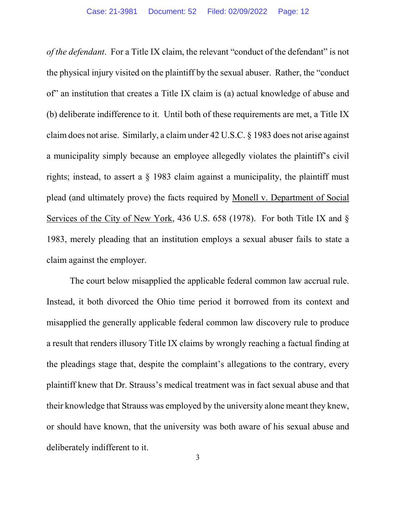*of the defendant*. For a Title IX claim, the relevant "conduct of the defendant" is not the physical injury visited on the plaintiff by the sexual abuser. Rather, the "conduct of" an institution that creates a Title IX claim is (a) actual knowledge of abuse and (b) deliberate indifference to it. Until both of these requirements are met, a Title IX claim does not arise. Similarly, a claim under 42 U.S.C. § 1983 does not arise against a municipality simply because an employee allegedly violates the plaintiff's civil rights; instead, to assert a § 1983 claim against a municipality, the plaintiff must plead (and ultimately prove) the facts required by Monell v. Department of Social Services of the City of New York, 436 U.S. 658 (1978). For both Title IX and § 1983, merely pleading that an institution employs a sexual abuser fails to state a claim against the employer.

The court below misapplied the applicable federal common law accrual rule. Instead, it both divorced the Ohio time period it borrowed from its context and misapplied the generally applicable federal common law discovery rule to produce a result that renders illusory Title IX claims by wrongly reaching a factual finding at the pleadings stage that, despite the complaint's allegations to the contrary, every plaintiff knew that Dr. Strauss's medical treatment was in fact sexual abuse and that their knowledge that Strauss was employed by the university alone meant they knew, or should have known, that the university was both aware of his sexual abuse and deliberately indifferent to it.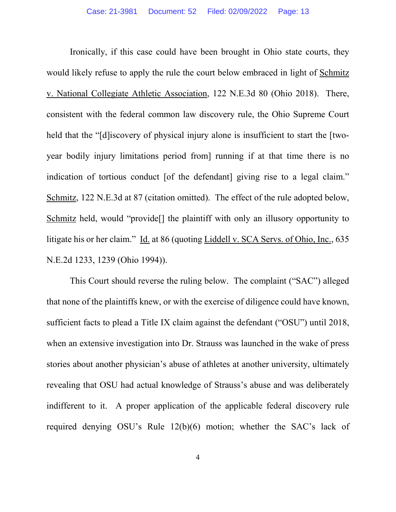Ironically, if this case could have been brought in Ohio state courts, they would likely refuse to apply the rule the court below embraced in light of Schmitz v. National Collegiate Athletic Association, 122 N.E.3d 80 (Ohio 2018). There, consistent with the federal common law discovery rule, the Ohio Supreme Court held that the "[d] iscovery of physical injury alone is insufficient to start the [twoyear bodily injury limitations period from] running if at that time there is no indication of tortious conduct [of the defendant] giving rise to a legal claim." Schmitz, 122 N.E.3d at 87 (citation omitted). The effect of the rule adopted below, Schmitz held, would "provide[] the plaintiff with only an illusory opportunity to litigate his or her claim." Id. at 86 (quoting Liddell v. SCA Servs. of Ohio, Inc., 635 N.E.2d 1233, 1239 (Ohio 1994)).

This Court should reverse the ruling below. The complaint ("SAC") alleged that none of the plaintiffs knew, or with the exercise of diligence could have known, sufficient facts to plead a Title IX claim against the defendant ("OSU") until 2018, when an extensive investigation into Dr. Strauss was launched in the wake of press stories about another physician's abuse of athletes at another university, ultimately revealing that OSU had actual knowledge of Strauss's abuse and was deliberately indifferent to it. A proper application of the applicable federal discovery rule required denying OSU's Rule 12(b)(6) motion; whether the SAC's lack of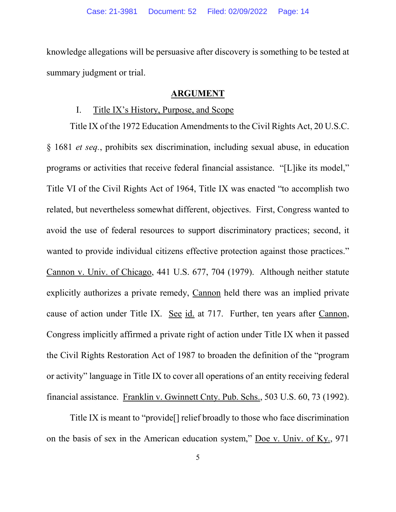knowledge allegations will be persuasive after discovery is something to be tested at summary judgment or trial.

#### **ARGUMENT**

#### I. Title IX's History, Purpose, and Scope

Title IX of the 1972 Education Amendments to the Civil Rights Act, 20 U.S.C. § 1681 *et seq.*, prohibits sex discrimination, including sexual abuse, in education programs or activities that receive federal financial assistance. "[L]ike its model," Title VI of the Civil Rights Act of 1964, Title IX was enacted "to accomplish two related, but nevertheless somewhat different, objectives. First, Congress wanted to avoid the use of federal resources to support discriminatory practices; second, it wanted to provide individual citizens effective protection against those practices." Cannon v. Univ. of Chicago, 441 U.S. 677, 704 (1979). Although neither statute explicitly authorizes a private remedy, Cannon held there was an implied private cause of action under Title IX. See id. at 717. Further, ten years after Cannon, Congress implicitly affirmed a private right of action under Title IX when it passed the Civil Rights Restoration Act of 1987 to broaden the definition of the "program or activity" language in Title IX to cover all operations of an entity receiving federal financial assistance. Franklin v. Gwinnett Cnty. Pub. Schs., 503 U.S. 60, 73 (1992).

Title IX is meant to "provide[] relief broadly to those who face discrimination on the basis of sex in the American education system," Doe v. Univ. of Ky., 971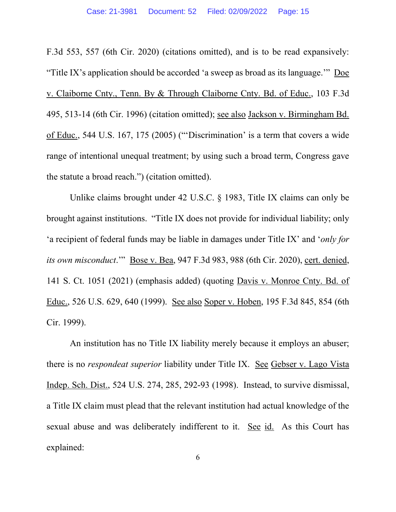F.3d 553, 557 (6th Cir. 2020) (citations omitted), and is to be read expansively: "Title IX's application should be accorded 'a sweep as broad as its language.'" Doe v. Claiborne Cnty., Tenn. By & Through Claiborne Cnty. Bd. of Educ., 103 F.3d 495, 513-14 (6th Cir. 1996) (citation omitted); see also Jackson v. Birmingham Bd. of Educ., 544 U.S. 167, 175 (2005) ("'Discrimination' is a term that covers a wide range of intentional unequal treatment; by using such a broad term, Congress gave the statute a broad reach.") (citation omitted).

Unlike claims brought under 42 U.S.C. § 1983, Title IX claims can only be brought against institutions. "Title IX does not provide for individual liability; only 'a recipient of federal funds may be liable in damages under Title IX' and '*only for its own misconduct*.'" Bose v. Bea, 947 F.3d 983, 988 (6th Cir. 2020), cert. denied, 141 S. Ct. 1051 (2021) (emphasis added) (quoting Davis v. Monroe Cnty. Bd. of Educ., 526 U.S. 629, 640 (1999). See also Soper v. Hoben, 195 F.3d 845, 854 (6th Cir. 1999).

An institution has no Title IX liability merely because it employs an abuser; there is no *respondeat superior* liability under Title IX. See Gebser v. Lago Vista Indep. Sch. Dist., 524 U.S. 274, 285, 292-93 (1998). Instead, to survive dismissal, a Title IX claim must plead that the relevant institution had actual knowledge of the sexual abuse and was deliberately indifferent to it. See id. As this Court has explained: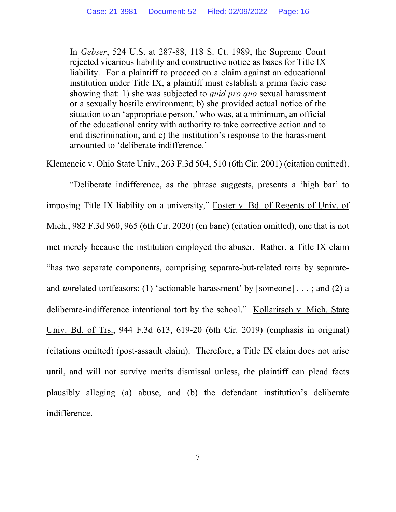In *Gebser*, 524 U.S. at 287-88, 118 S. Ct. 1989, the Supreme Court rejected vicarious liability and constructive notice as bases for Title IX liability. For a plaintiff to proceed on a claim against an educational institution under Title IX, a plaintiff must establish a prima facie case showing that: 1) she was subjected to *quid pro quo* sexual harassment or a sexually hostile environment; b) she provided actual notice of the situation to an 'appropriate person,' who was, at a minimum, an official of the educational entity with authority to take corrective action and to end discrimination; and c) the institution's response to the harassment amounted to 'deliberate indifference.'

Klemencic v. Ohio State Univ., 263 F.3d 504, 510 (6th Cir. 2001) (citation omitted).

"Deliberate indifference, as the phrase suggests, presents a 'high bar' to imposing Title IX liability on a university," Foster v. Bd. of Regents of Univ. of Mich., 982 F.3d 960, 965 (6th Cir. 2020) (en banc) (citation omitted), one that is not met merely because the institution employed the abuser. Rather, a Title IX claim "has two separate components, comprising separate-but-related torts by separateand-*un*related tortfeasors: (1) 'actionable harassment' by [someone] . . . ; and (2) a deliberate-indifference intentional tort by the school." Kollaritsch v. Mich. State Univ. Bd. of Trs., 944 F.3d 613, 619-20 (6th Cir. 2019) (emphasis in original) (citations omitted) (post-assault claim). Therefore, a Title IX claim does not arise until, and will not survive merits dismissal unless, the plaintiff can plead facts plausibly alleging (a) abuse, and (b) the defendant institution's deliberate indifference.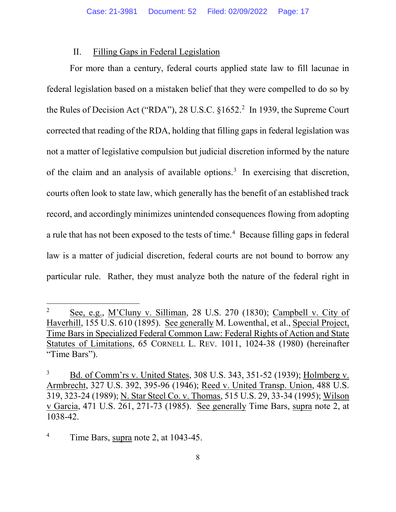#### II. Filling Gaps in Federal Legislation

For more than a century, federal courts applied state law to fill lacunae in federal legislation based on a mistaken belief that they were compelled to do so by the Rules of Decision Act ("RDA"), 28 U.S.C.  $$1652.<sup>2</sup>$  In 1939, the Supreme Court corrected that reading of the RDA, holding that filling gaps in federal legislation was not a matter of legislative compulsion but judicial discretion informed by the nature of the claim and an analysis of available options.<sup>3</sup> In exercising that discretion, courts often look to state law, which generally has the benefit of an established track record, and accordingly minimizes unintended consequences flowing from adopting a rule that has not been exposed to the tests of time.<sup>4</sup> Because filling gaps in federal law is a matter of judicial discretion, federal courts are not bound to borrow any particular rule. Rather, they must analyze both the nature of the federal right in

 $\overline{a}$ 

<sup>2</sup> See, e.g., M'Cluny v. Silliman, 28 U.S. 270 (1830); Campbell v. City of Haverhill, 155 U.S. 610 (1895). See generally M. Lowenthal, et al., Special Project, Time Bars in Specialized Federal Common Law: Federal Rights of Action and State Statutes of Limitations, 65 CORNELL L. REV. 1011, 1024-38 (1980) (hereinafter "Time Bars").

<sup>3</sup> Bd. of Comm'rs v. United States, 308 U.S. 343, 351-52 (1939); Holmberg v. Armbrecht, 327 U.S. 392, 395-96 (1946); Reed v. United Transp. Union, 488 U.S. 319, 323-24 (1989); N. Star Steel Co. v. Thomas, 515 U.S. 29, 33-34 (1995); Wilson v Garcia, 471 U.S. 261, 271-73 (1985). See generally Time Bars, supra note 2, at 1038-42.

<sup>4</sup> Time Bars, supra note 2, at 1043-45.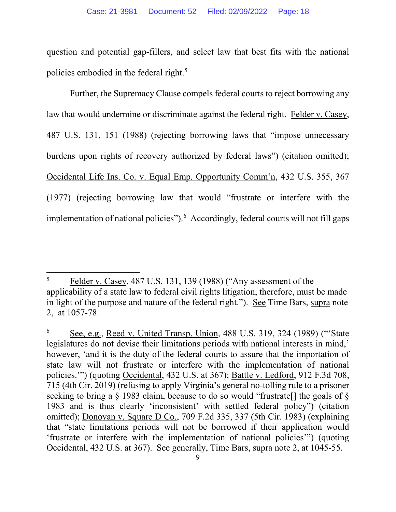question and potential gap-fillers, and select law that best fits with the national policies embodied in the federal right.<sup>5</sup>

Further, the Supremacy Clause compels federal courts to reject borrowing any law that would undermine or discriminate against the federal right. Felder v. Casey, 487 U.S. 131, 151 (1988) (rejecting borrowing laws that "impose unnecessary burdens upon rights of recovery authorized by federal laws") (citation omitted); Occidental Life Ins. Co. v. Equal Emp. Opportunity Comm'n, 432 U.S. 355, 367 (1977) (rejecting borrowing law that would "frustrate or interfere with the implementation of national policies").<sup>6</sup> Accordingly, federal courts will not fill gaps

 $\overline{a}$ 5 Felder v. Casey, 487 U.S. 131, 139 (1988) ("Any assessment of the applicability of a state law to federal civil rights litigation, therefore, must be made in light of the purpose and nature of the federal right."). See Time Bars, supra note 2, at 1057-78.

<sup>6</sup> See, e.g., Reed v. United Transp. Union, 488 U.S. 319, 324 (1989) ("'State legislatures do not devise their limitations periods with national interests in mind,' however, 'and it is the duty of the federal courts to assure that the importation of state law will not frustrate or interfere with the implementation of national policies."") (quoting Occidental, 432 U.S. at 367); Battle v. Ledford, 912 F.3d 708, 715 (4th Cir. 2019) (refusing to apply Virginia's general no-tolling rule to a prisoner seeking to bring a  $\S$  1983 claim, because to do so would "frustrate" the goals of  $\S$ 1983 and is thus clearly 'inconsistent' with settled federal policy") (citation omitted); Donovan v. Square D Co., 709 F.2d 335, 337 (5th Cir. 1983) (explaining that "state limitations periods will not be borrowed if their application would 'frustrate or interfere with the implementation of national policies'") (quoting Occidental, 432 U.S. at 367). See generally, Time Bars, supra note 2, at 1045-55.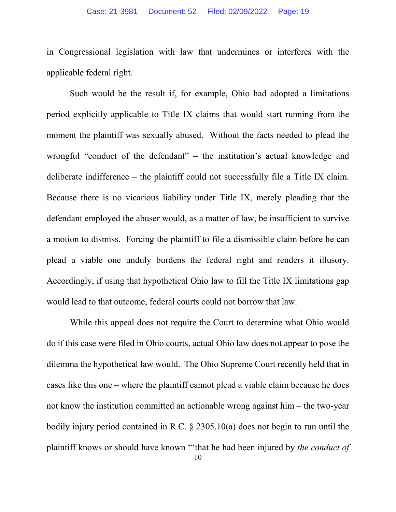in Congressional legislation with law that undermines or interferes with the applicable federal right.

Such would be the result if, for example, Ohio had adopted a limitations period explicitly applicable to Title IX claims that would start running from the moment the plaintiff was sexually abused. Without the facts needed to plead the wrongful "conduct of the defendant" – the institution's actual knowledge and deliberate indifference – the plaintiff could not successfully file a Title IX claim. Because there is no vicarious liability under Title IX, merely pleading that the defendant employed the abuser would, as a matter of law, be insufficient to survive a motion to dismiss. Forcing the plaintiff to file a dismissible claim before he can plead a viable one unduly burdens the federal right and renders it illusory. Accordingly, if using that hypothetical Ohio law to fill the Title IX limitations gap would lead to that outcome, federal courts could not borrow that law.

While this appeal does not require the Court to determine what Ohio would do if this case were filed in Ohio courts, actual Ohio law does not appear to pose the dilemma the hypothetical law would. The Ohio Supreme Court recently held that in cases like this one – where the plaintiff cannot plead a viable claim because he does not know the institution committed an actionable wrong against him – the two-year bodily injury period contained in R.C. § 2305.10(a) does not begin to run until the plaintiff knows or should have known "'that he had been injured by *the conduct of*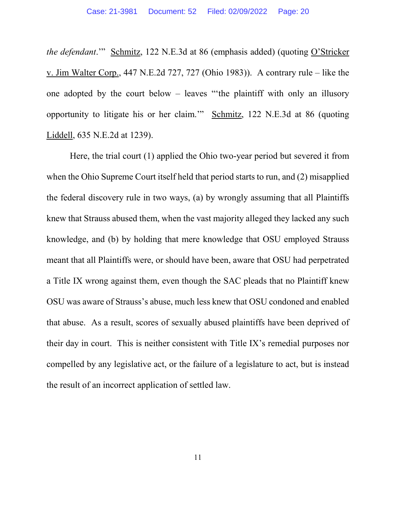*the defendant*.'" Schmitz, 122 N.E.3d at 86 (emphasis added) (quoting O'Stricker v. Jim Walter Corp., 447 N.E.2d 727, 727 (Ohio 1983)). A contrary rule – like the one adopted by the court below – leaves "'the plaintiff with only an illusory opportunity to litigate his or her claim.'" Schmitz, 122 N.E.3d at 86 (quoting Liddell, 635 N.E.2d at 1239).

Here, the trial court (1) applied the Ohio two-year period but severed it from when the Ohio Supreme Court itself held that period starts to run, and (2) misapplied the federal discovery rule in two ways, (a) by wrongly assuming that all Plaintiffs knew that Strauss abused them, when the vast majority alleged they lacked any such knowledge, and (b) by holding that mere knowledge that OSU employed Strauss meant that all Plaintiffs were, or should have been, aware that OSU had perpetrated a Title IX wrong against them, even though the SAC pleads that no Plaintiff knew OSU was aware of Strauss's abuse, much less knew that OSU condoned and enabled that abuse. As a result, scores of sexually abused plaintiffs have been deprived of their day in court. This is neither consistent with Title IX's remedial purposes nor compelled by any legislative act, or the failure of a legislature to act, but is instead the result of an incorrect application of settled law.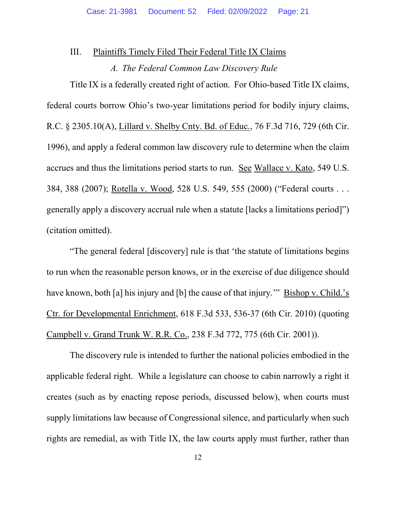#### III. Plaintiffs Timely Filed Their Federal Title IX Claims

#### *A. The Federal Common Law Discovery Rule*

Title IX is a federally created right of action. For Ohio-based Title IX claims, federal courts borrow Ohio's two-year limitations period for bodily injury claims, R.C. § 2305.10(A), Lillard v. Shelby Cnty. Bd. of Educ*.*, 76 F.3d 716, 729 (6th Cir. 1996), and apply a federal common law discovery rule to determine when the claim accrues and thus the limitations period starts to run. See Wallace v. Kato, 549 U.S. 384, 388 (2007); Rotella v. Wood, 528 U.S. 549, 555 (2000) ("Federal courts . . . generally apply a discovery accrual rule when a statute [lacks a limitations period]") (citation omitted).

"The general federal [discovery] rule is that 'the statute of limitations begins to run when the reasonable person knows, or in the exercise of due diligence should have known, both [a] his injury and [b] the cause of that injury." Bishop v. Child.'s Ctr. for Developmental Enrichment, 618 F.3d 533, 536-37 (6th Cir. 2010) (quoting Campbell v. Grand Trunk W. R.R. Co., 238 F.3d 772, 775 (6th Cir. 2001)).

The discovery rule is intended to further the national policies embodied in the applicable federal right. While a legislature can choose to cabin narrowly a right it creates (such as by enacting repose periods, discussed below), when courts must supply limitations law because of Congressional silence, and particularly when such rights are remedial, as with Title IX, the law courts apply must further, rather than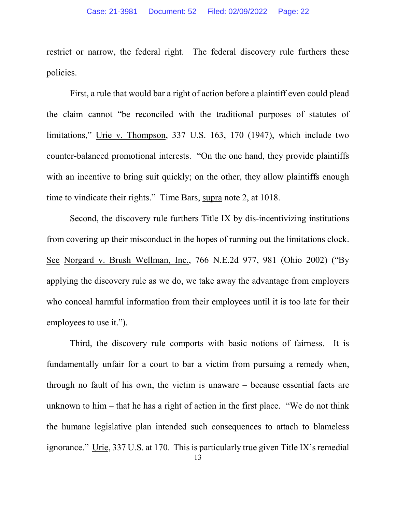restrict or narrow, the federal right. The federal discovery rule furthers these policies.

First, a rule that would bar a right of action before a plaintiff even could plead the claim cannot "be reconciled with the traditional purposes of statutes of limitations," Urie v. Thompson, 337 U.S. 163, 170 (1947), which include two counter-balanced promotional interests. "On the one hand, they provide plaintiffs with an incentive to bring suit quickly; on the other, they allow plaintiffs enough time to vindicate their rights." Time Bars, supra note 2, at 1018.

Second, the discovery rule furthers Title IX by dis-incentivizing institutions from covering up their misconduct in the hopes of running out the limitations clock. See Norgard v. Brush Wellman, Inc., 766 N.E.2d 977, 981 (Ohio 2002) ("By applying the discovery rule as we do, we take away the advantage from employers who conceal harmful information from their employees until it is too late for their employees to use it.").

Third, the discovery rule comports with basic notions of fairness. It is fundamentally unfair for a court to bar a victim from pursuing a remedy when, through no fault of his own, the victim is unaware – because essential facts are unknown to him – that he has a right of action in the first place. "We do not think the humane legislative plan intended such consequences to attach to blameless ignorance." Urie, 337 U.S. at 170. This is particularly true given Title IX's remedial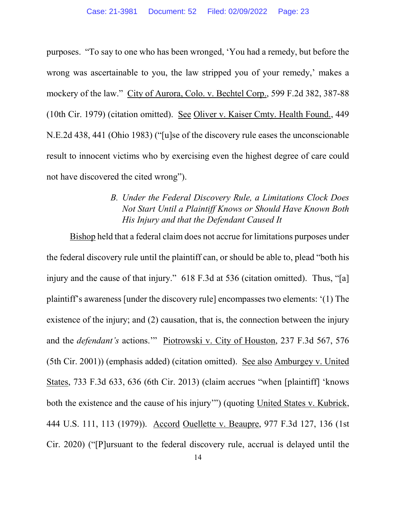purposes. "To say to one who has been wronged, 'You had a remedy, but before the wrong was ascertainable to you, the law stripped you of your remedy,' makes a mockery of the law." City of Aurora, Colo. v. Bechtel Corp., 599 F.2d 382, 387-88 (10th Cir. 1979) (citation omitted). See Oliver v. Kaiser Cmty. Health Found., 449 N.E.2d 438, 441 (Ohio 1983) ("[u]se of the discovery rule eases the unconscionable result to innocent victims who by exercising even the highest degree of care could not have discovered the cited wrong").

### *B. Under the Federal Discovery Rule, a Limitations Clock Does Not Start Until a Plaintiff Knows or Should Have Known Both His Injury and that the Defendant Caused It*

Bishop held that a federal claim does not accrue for limitations purposes under the federal discovery rule until the plaintiff can, or should be able to, plead "both his injury and the cause of that injury." 618 F.3d at 536 (citation omitted). Thus, "[a] plaintiff's awareness [under the discovery rule] encompasses two elements: '(1) The existence of the injury; and (2) causation, that is, the connection between the injury and the *defendant's* actions.'" Piotrowski v. City of Houston, 237 F.3d 567, 576 (5th Cir. 2001)) (emphasis added) (citation omitted). See also Amburgey v. United States, 733 F.3d 633, 636 (6th Cir. 2013) (claim accrues "when [plaintiff] 'knows both the existence and the cause of his injury'") (quoting United States v. Kubrick, 444 U.S. 111, 113 (1979)). Accord Ouellette v. Beaupre, 977 F.3d 127, 136 (1st Cir. 2020) ("[P]ursuant to the federal discovery rule, accrual is delayed until the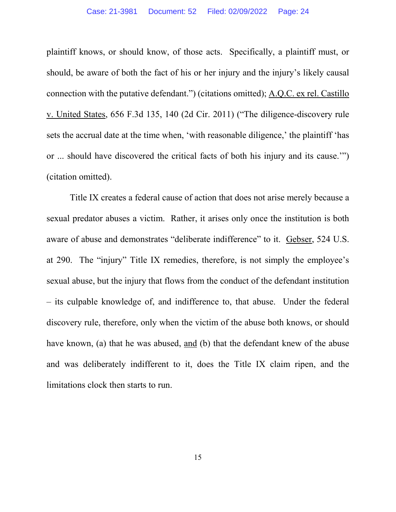plaintiff knows, or should know, of those acts. Specifically, a plaintiff must, or should, be aware of both the fact of his or her injury and the injury's likely causal connection with the putative defendant.") (citations omitted); A.Q.C. ex rel. Castillo v. United States, 656 F.3d 135, 140 (2d Cir. 2011) ("The diligence-discovery rule sets the accrual date at the time when, 'with reasonable diligence,' the plaintiff 'has or ... should have discovered the critical facts of both his injury and its cause.'") (citation omitted).

Title IX creates a federal cause of action that does not arise merely because a sexual predator abuses a victim. Rather, it arises only once the institution is both aware of abuse and demonstrates "deliberate indifference" to it. Gebser, 524 U.S. at 290. The "injury" Title IX remedies, therefore, is not simply the employee's sexual abuse, but the injury that flows from the conduct of the defendant institution – its culpable knowledge of, and indifference to, that abuse. Under the federal discovery rule, therefore, only when the victim of the abuse both knows, or should have known, (a) that he was abused, and (b) that the defendant knew of the abuse and was deliberately indifferent to it, does the Title IX claim ripen, and the limitations clock then starts to run.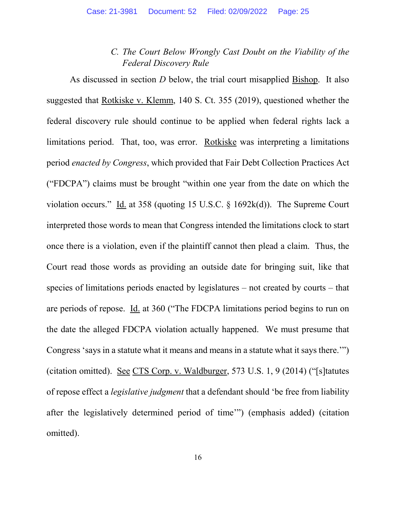### *C. The Court Below Wrongly Cast Doubt on the Viability of the Federal Discovery Rule*

As discussed in section *D* below, the trial court misapplied Bishop. It also suggested that Rotkiske v. Klemm, 140 S. Ct. 355 (2019), questioned whether the federal discovery rule should continue to be applied when federal rights lack a limitations period. That, too, was error. Rotkiske was interpreting a limitations period *enacted by Congress*, which provided that Fair Debt Collection Practices Act ("FDCPA") claims must be brought "within one year from the date on which the violation occurs." Id. at 358 (quoting 15 U.S.C.  $\S$  1692k(d)). The Supreme Court interpreted those words to mean that Congress intended the limitations clock to start once there is a violation, even if the plaintiff cannot then plead a claim. Thus, the Court read those words as providing an outside date for bringing suit, like that species of limitations periods enacted by legislatures – not created by courts – that are periods of repose. Id. at 360 ("The FDCPA limitations period begins to run on the date the alleged FDCPA violation actually happened. We must presume that Congress 'says in a statute what it means and means in a statute what it says there.'") (citation omitted). See CTS Corp. v. Waldburger, 573 U.S. 1, 9 (2014) ("[s]tatutes of repose effect a *legislative judgment* that a defendant should 'be free from liability after the legislatively determined period of time'") (emphasis added) (citation omitted).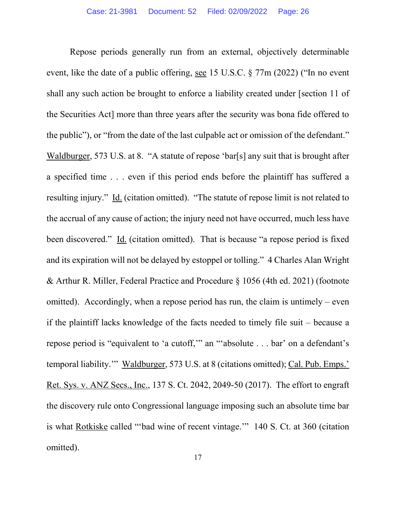Repose periods generally run from an external, objectively determinable event, like the date of a public offering, see 15 U.S.C. § 77m (2022) ("In no event shall any such action be brought to enforce a liability created under [section 11 of the Securities Act] more than three years after the security was bona fide offered to the public"), or "from the date of the last culpable act or omission of the defendant." Waldburger, 573 U.S. at 8. "A statute of repose 'bar[s] any suit that is brought after a specified time . . . even if this period ends before the plaintiff has suffered a resulting injury." Id. (citation omitted). "The statute of repose limit is not related to the accrual of any cause of action; the injury need not have occurred, much less have been discovered." Id. (citation omitted). That is because "a repose period is fixed and its expiration will not be delayed by estoppel or tolling." 4 Charles Alan Wright & Arthur R. Miller, Federal Practice and Procedure § 1056 (4th ed. 2021) (footnote omitted). Accordingly, when a repose period has run, the claim is untimely – even if the plaintiff lacks knowledge of the facts needed to timely file suit – because a repose period is "equivalent to 'a cutoff,'" an "'absolute . . . bar' on a defendant's temporal liability.'" Waldburger, 573 U.S. at 8 (citations omitted); Cal. Pub. Emps.' Ret. Sys. v. ANZ Secs., Inc., 137 S. Ct. 2042, 2049-50 (2017). The effort to engraft the discovery rule onto Congressional language imposing such an absolute time bar is what Rotkiske called "'bad wine of recent vintage.'" 140 S. Ct. at 360 (citation omitted).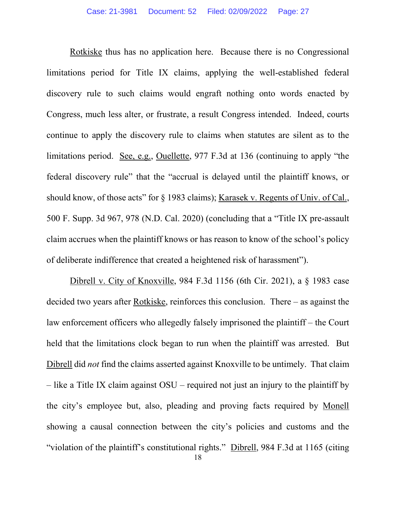Rotkiske thus has no application here. Because there is no Congressional limitations period for Title IX claims, applying the well-established federal discovery rule to such claims would engraft nothing onto words enacted by Congress, much less alter, or frustrate, a result Congress intended. Indeed, courts continue to apply the discovery rule to claims when statutes are silent as to the limitations period. See, e.g., Ouellette, 977 F.3d at 136 (continuing to apply "the federal discovery rule" that the "accrual is delayed until the plaintiff knows, or should know, of those acts" for § 1983 claims); Karasek v. Regents of Univ. of Cal., 500 F. Supp. 3d 967, 978 (N.D. Cal. 2020) (concluding that a "Title IX pre-assault claim accrues when the plaintiff knows or has reason to know of the school's policy of deliberate indifference that created a heightened risk of harassment").

Dibrell v. City of Knoxville, 984 F.3d 1156 (6th Cir. 2021), a § 1983 case decided two years after Rotkiske, reinforces this conclusion. There – as against the law enforcement officers who allegedly falsely imprisoned the plaintiff – the Court held that the limitations clock began to run when the plaintiff was arrested. But Dibrell did *not* find the claims asserted against Knoxville to be untimely. That claim – like a Title IX claim against OSU – required not just an injury to the plaintiff by the city's employee but, also, pleading and proving facts required by Monell showing a causal connection between the city's policies and customs and the "violation of the plaintiff's constitutional rights." Dibrell, 984 F.3d at 1165 (citing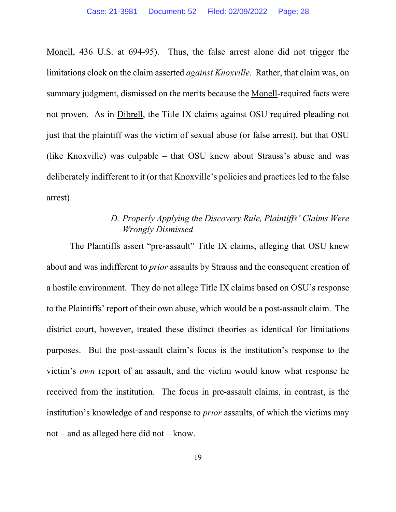Monell, 436 U.S. at 694-95). Thus, the false arrest alone did not trigger the limitations clock on the claim asserted *against Knoxville*. Rather, that claim was, on summary judgment, dismissed on the merits because the Monell-required facts were not proven. As in Dibrell, the Title IX claims against OSU required pleading not just that the plaintiff was the victim of sexual abuse (or false arrest), but that OSU (like Knoxville) was culpable – that OSU knew about Strauss's abuse and was deliberately indifferent to it (or that Knoxville's policies and practices led to the false arrest).

### *D. Properly Applying the Discovery Rule, Plaintiffs' Claims Were Wrongly Dismissed*

The Plaintiffs assert "pre-assault" Title IX claims, alleging that OSU knew about and was indifferent to *prior* assaults by Strauss and the consequent creation of a hostile environment. They do not allege Title IX claims based on OSU's response to the Plaintiffs' report of their own abuse, which would be a post-assault claim. The district court, however, treated these distinct theories as identical for limitations purposes. But the post-assault claim's focus is the institution's response to the victim's *own* report of an assault, and the victim would know what response he received from the institution. The focus in pre-assault claims, in contrast, is the institution's knowledge of and response to *prior* assaults, of which the victims may not – and as alleged here did not – know.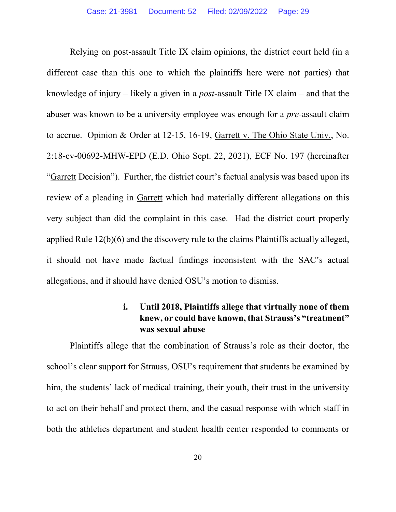Relying on post-assault Title IX claim opinions, the district court held (in a different case than this one to which the plaintiffs here were not parties) that knowledge of injury – likely a given in a *post*-assault Title IX claim – and that the abuser was known to be a university employee was enough for a *pre*-assault claim to accrue. Opinion & Order at 12-15, 16-19, Garrett v. The Ohio State Univ., No. 2:18-cv-00692-MHW-EPD (E.D. Ohio Sept. 22, 2021), ECF No. 197 (hereinafter "Garrett Decision"). Further, the district court's factual analysis was based upon its review of a pleading in Garrett which had materially different allegations on this very subject than did the complaint in this case. Had the district court properly applied Rule 12(b)(6) and the discovery rule to the claims Plaintiffs actually alleged, it should not have made factual findings inconsistent with the SAC's actual allegations, and it should have denied OSU's motion to dismiss.

### **i. Until 2018, Plaintiffs allege that virtually none of them knew, or could have known, that Strauss's "treatment" was sexual abuse**

Plaintiffs allege that the combination of Strauss's role as their doctor, the school's clear support for Strauss, OSU's requirement that students be examined by him, the students' lack of medical training, their youth, their trust in the university to act on their behalf and protect them, and the casual response with which staff in both the athletics department and student health center responded to comments or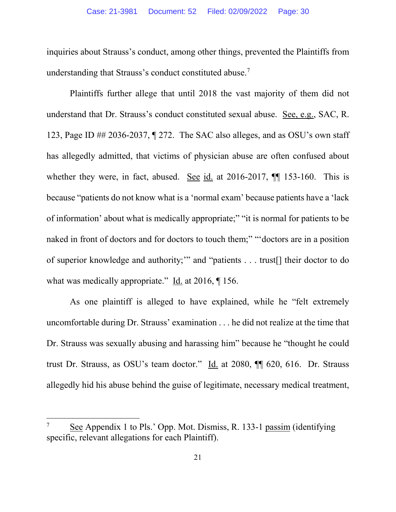inquiries about Strauss's conduct, among other things, prevented the Plaintiffs from understanding that Strauss's conduct constituted abuse.<sup>7</sup>

Plaintiffs further allege that until 2018 the vast majority of them did not understand that Dr. Strauss's conduct constituted sexual abuse. See, e.g., SAC, R. 123, Page ID ## 2036-2037, ¶ 272. The SAC also alleges, and as OSU's own staff has allegedly admitted, that victims of physician abuse are often confused about whether they were, in fact, abused. See id. at 2016-2017,  $\P\P$  153-160. This is because "patients do not know what is a 'normal exam' because patients have a 'lack of information' about what is medically appropriate;" "it is normal for patients to be naked in front of doctors and for doctors to touch them;" "'doctors are in a position of superior knowledge and authority;'" and "patients . . . trust[] their doctor to do what was medically appropriate." Id. at 2016,  $\llbracket$  156.

As one plaintiff is alleged to have explained, while he "felt extremely uncomfortable during Dr. Strauss' examination . . . he did not realize at the time that Dr. Strauss was sexually abusing and harassing him" because he "thought he could trust Dr. Strauss, as OSU's team doctor." Id. at 2080, ¶¶ 620, 616. Dr. Strauss allegedly hid his abuse behind the guise of legitimate, necessary medical treatment,

 $\overline{a}$ 

<sup>7</sup> See Appendix 1 to Pls.' Opp. Mot. Dismiss, R. 133-1 passim (identifying specific, relevant allegations for each Plaintiff).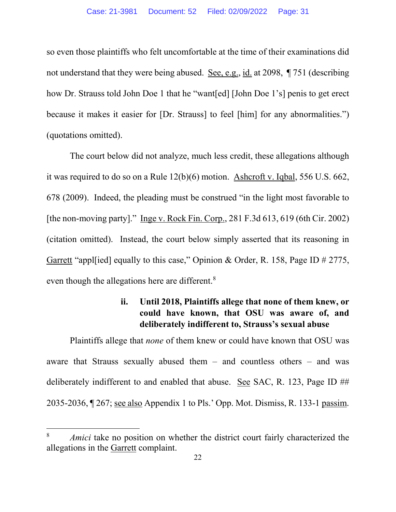so even those plaintiffs who felt uncomfortable at the time of their examinations did not understand that they were being abused. See, e.g., id. at 2098, ¶ 751 (describing how Dr. Strauss told John Doe 1 that he "want[ed] [John Doe 1's] penis to get erect because it makes it easier for [Dr. Strauss] to feel [him] for any abnormalities.") (quotations omitted).

The court below did not analyze, much less credit, these allegations although it was required to do so on a Rule 12(b)(6) motion. Ashcroft v. Iqbal, 556 U.S. 662, 678 (2009). Indeed, the pleading must be construed "in the light most favorable to [the non-moving party]." Inge v. Rock Fin. Corp., 281 F.3d 613, 619 (6th Cir. 2002) (citation omitted). Instead, the court below simply asserted that its reasoning in Garrett "appl[ied] equally to this case," Opinion & Order, R. 158, Page ID # 2775, even though the allegations here are different.<sup>8</sup>

### **ii. Until 2018, Plaintiffs allege that none of them knew, or could have known, that OSU was aware of, and deliberately indifferent to, Strauss's sexual abuse**

Plaintiffs allege that *none* of them knew or could have known that OSU was aware that Strauss sexually abused them – and countless others – and was deliberately indifferent to and enabled that abuse. See SAC, R. 123, Page ID ## 2035-2036, ¶ 267; see also Appendix 1 to Pls.' Opp. Mot. Dismiss, R. 133-1 passim.

 $\overline{a}$ 

<sup>8</sup> *Amici* take no position on whether the district court fairly characterized the allegations in the Garrett complaint.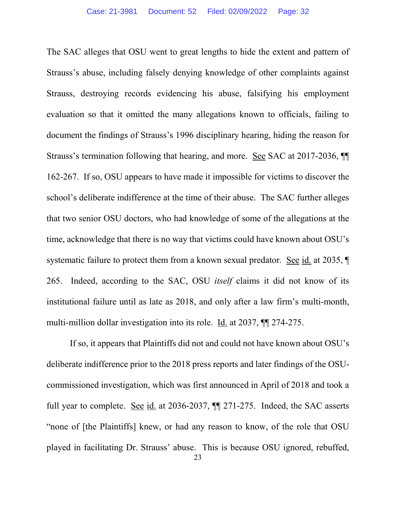The SAC alleges that OSU went to great lengths to hide the extent and pattern of Strauss's abuse, including falsely denying knowledge of other complaints against Strauss, destroying records evidencing his abuse, falsifying his employment evaluation so that it omitted the many allegations known to officials, failing to document the findings of Strauss's 1996 disciplinary hearing, hiding the reason for Strauss's termination following that hearing, and more. See SAC at 2017-2036, ¶¶ 162-267. If so, OSU appears to have made it impossible for victims to discover the school's deliberate indifference at the time of their abuse. The SAC further alleges that two senior OSU doctors, who had knowledge of some of the allegations at the time, acknowledge that there is no way that victims could have known about OSU's systematic failure to protect them from a known sexual predator. See id. at 2035, ¶ 265. Indeed, according to the SAC, OSU *itself* claims it did not know of its institutional failure until as late as 2018, and only after a law firm's multi-month, multi-million dollar investigation into its role. Id. at 2037, ¶¶ 274-275.

If so, it appears that Plaintiffs did not and could not have known about OSU's deliberate indifference prior to the 2018 press reports and later findings of the OSUcommissioned investigation, which was first announced in April of 2018 and took a full year to complete. See id. at 2036-2037, ¶¶ 271-275. Indeed, the SAC asserts "none of [the Plaintiffs] knew, or had any reason to know, of the role that OSU played in facilitating Dr. Strauss' abuse. This is because OSU ignored, rebuffed,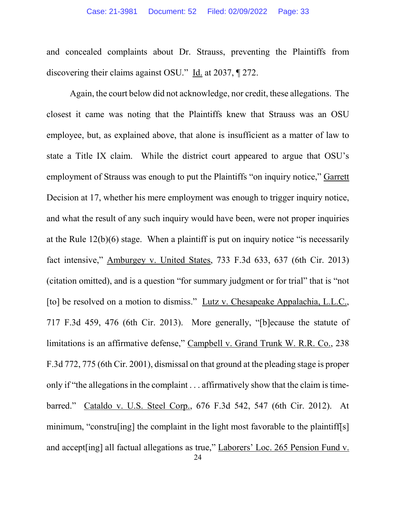and concealed complaints about Dr. Strauss, preventing the Plaintiffs from discovering their claims against OSU." Id. at 2037, ¶ 272.

Again, the court below did not acknowledge, nor credit, these allegations. The closest it came was noting that the Plaintiffs knew that Strauss was an OSU employee, but, as explained above, that alone is insufficient as a matter of law to state a Title IX claim. While the district court appeared to argue that OSU's employment of Strauss was enough to put the Plaintiffs "on inquiry notice," Garrett Decision at 17, whether his mere employment was enough to trigger inquiry notice, and what the result of any such inquiry would have been, were not proper inquiries at the Rule 12(b)(6) stage. When a plaintiff is put on inquiry notice "is necessarily fact intensive," Amburgey v. United States, 733 F.3d 633, 637 (6th Cir. 2013) (citation omitted), and is a question "for summary judgment or for trial" that is "not [to] be resolved on a motion to dismiss." Lutz v. Chesapeake Appalachia, L.L.C., 717 F.3d 459, 476 (6th Cir. 2013). More generally, "[b]ecause the statute of limitations is an affirmative defense," Campbell v. Grand Trunk W. R.R. Co., 238 F.3d 772, 775 (6th Cir. 2001), dismissal on that ground at the pleading stage is proper only if "the allegations in the complaint . . . affirmatively show that the claim is timebarred." Cataldo v. U.S. Steel Corp., 676 F.3d 542, 547 (6th Cir. 2012). At minimum, "construling] the complaint in the light most favorable to the plaintiff[s] and accept[ing] all factual allegations as true," Laborers' Loc. 265 Pension Fund v.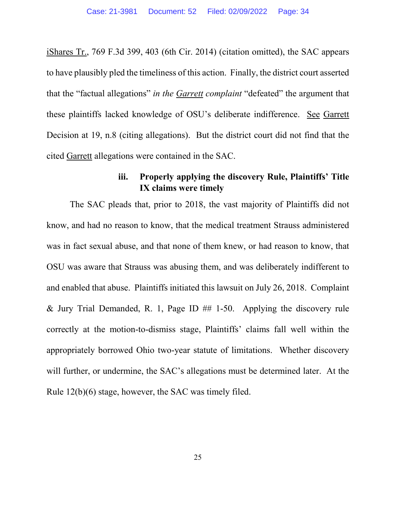iShares Tr., 769 F.3d 399, 403 (6th Cir. 2014) (citation omitted), the SAC appears to have plausibly pled the timeliness of this action. Finally, the district court asserted that the "factual allegations" *in the Garrett complaint* "defeated" the argument that these plaintiffs lacked knowledge of OSU's deliberate indifference. See Garrett Decision at 19, n.8 (citing allegations). But the district court did not find that the cited Garrett allegations were contained in the SAC.

### **iii. Properly applying the discovery Rule, Plaintiffs' Title IX claims were timely**

The SAC pleads that, prior to 2018, the vast majority of Plaintiffs did not know, and had no reason to know, that the medical treatment Strauss administered was in fact sexual abuse, and that none of them knew, or had reason to know, that OSU was aware that Strauss was abusing them, and was deliberately indifferent to and enabled that abuse. Plaintiffs initiated this lawsuit on July 26, 2018. Complaint & Jury Trial Demanded, R. 1, Page ID  $\#$  1-50. Applying the discovery rule correctly at the motion-to-dismiss stage, Plaintiffs' claims fall well within the appropriately borrowed Ohio two-year statute of limitations. Whether discovery will further, or undermine, the SAC's allegations must be determined later. At the Rule 12(b)(6) stage, however, the SAC was timely filed.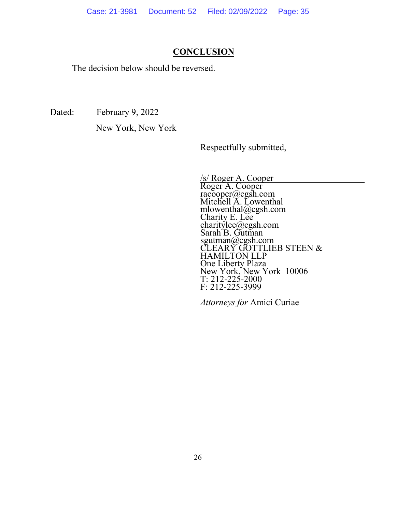#### **CONCLUSION**

The decision below should be reversed.

Dated: February 9, 2022<br>New York, New York

Respectfully submitted,

/s/ Roger A. Cooper<br>Roger A. Cooper racooper@cgsh.com Mitchell A. Lowenthal mlowenthal@cgsh.com Charity E. Lee charitylee@cgsh.com Sarah B. Gutman sgutman@cgsh.com CLEARY GOTTLIEB STEEN & HAMILTON LLP One Liberty Plaza New York, New York 10006 T: 212-225-2000 F: 212-225-3999

*Attorneys for* Amici Curiae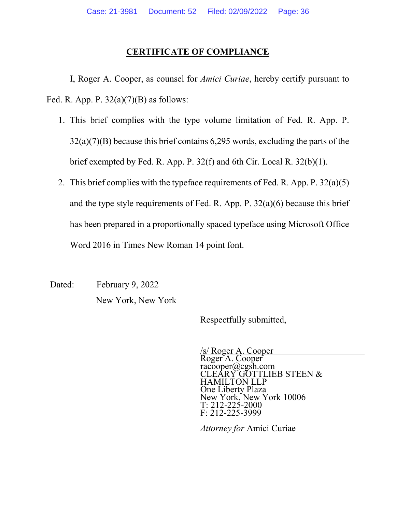#### **CERTIFICATE OF COMPLIANCE**

I, Roger A. Cooper, as counsel for *Amici Curiae*, hereby certify pursuant to Fed. R. App. P.  $32(a)(7)(B)$  as follows:

- 1. This brief complies with the type volume limitation of Fed. R. App. P. 32(a)(7)(B) because this brief contains 6,295 words, excluding the parts of the brief exempted by Fed. R. App. P. 32(f) and 6th Cir. Local R. 32(b)(1).
- 2. This brief complies with the typeface requirements of Fed. R. App. P. 32(a)(5) and the type style requirements of Fed. R. App. P. 32(a)(6) because this brief has been prepared in a proportionally spaced typeface using Microsoft Office Word 2016 in Times New Roman 14 point font.

Dated: February 9, 2022<br>New York, New York

Respectfully submitted,

/s/ Roger A. Cooper Roger A. Cooper racooper@cgsh.com CLEARY GOTTLIEB STEEN & HAMILTON LLP One Liberty Plaza New York, New York 10006 T: 212-225-2000 F: 212-225-3999

*Attorney for* Amici Curiae